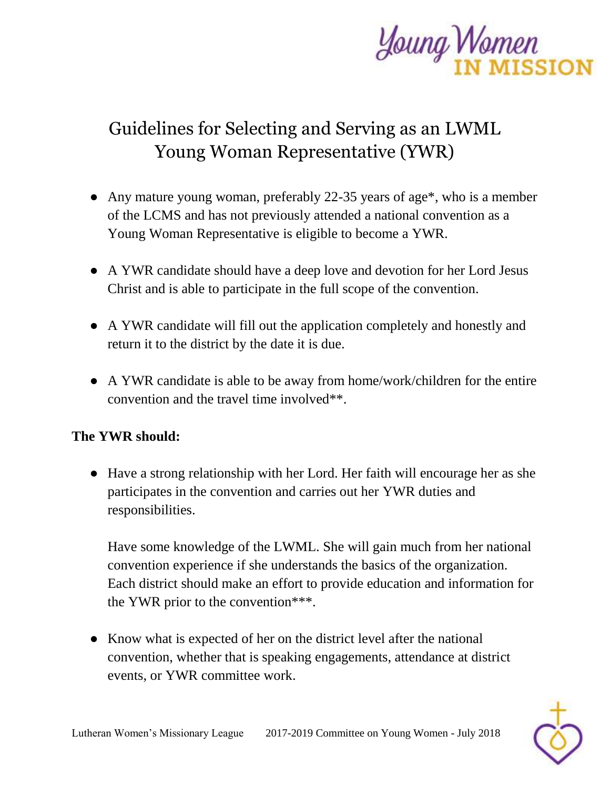

## Guidelines for Selecting and Serving as an LWML Young Woman Representative (YWR)

- Any mature young woman, preferably 22-35 years of age\*, who is a member of the LCMS and has not previously attended a national convention as a Young Woman Representative is eligible to become a YWR.
- A YWR candidate should have a deep love and devotion for her Lord Jesus Christ and is able to participate in the full scope of the convention.
- A YWR candidate will fill out the application completely and honestly and return it to the district by the date it is due.
- A YWR candidate is able to be away from home/work/children for the entire convention and the travel time involved\*\*.

## **The YWR should:**

● Have a strong relationship with her Lord. Her faith will encourage her as she participates in the convention and carries out her YWR duties and responsibilities.

Have some knowledge of the LWML. She will gain much from her national convention experience if she understands the basics of the organization. Each district should make an effort to provide education and information for the YWR prior to the convention\*\*\*.

● Know what is expected of her on the district level after the national convention, whether that is speaking engagements, attendance at district events, or YWR committee work.

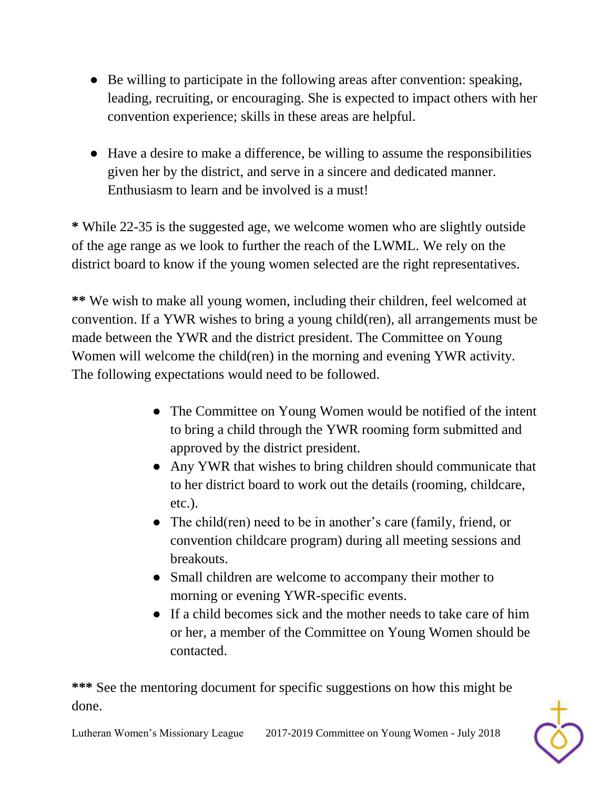- Be willing to participate in the following areas after convention: speaking, leading, recruiting, or encouraging. She is expected to impact others with her convention experience; skills in these areas are helpful.
- Have a desire to make a difference, be willing to assume the responsibilities given her by the district, and serve in a sincere and dedicated manner. Enthusiasm to learn and be involved is a must!

**\*** While 22-35 is the suggested age, we welcome women who are slightly outside of the age range as we look to further the reach of the LWML. We rely on the district board to know if the young women selected are the right representatives.

**\*\*** We wish to make all young women, including their children, feel welcomed at convention. If a YWR wishes to bring a young child(ren), all arrangements must be made between the YWR and the district president. The Committee on Young Women will welcome the child(ren) in the morning and evening YWR activity. The following expectations would need to be followed.

- The Committee on Young Women would be notified of the intent to bring a child through the YWR rooming form submitted and approved by the district president.
- Any YWR that wishes to bring children should communicate that to her district board to work out the details (rooming, childcare, etc.).
- The child(ren) need to be in another's care (family, friend, or convention childcare program) during all meeting sessions and breakouts.
- Small children are welcome to accompany their mother to morning or evening YWR-specific events.
- If a child becomes sick and the mother needs to take care of him or her, a member of the Committee on Young Women should be contacted.

**\*\*\*** See the mentoring document for specific suggestions on how this might be done.